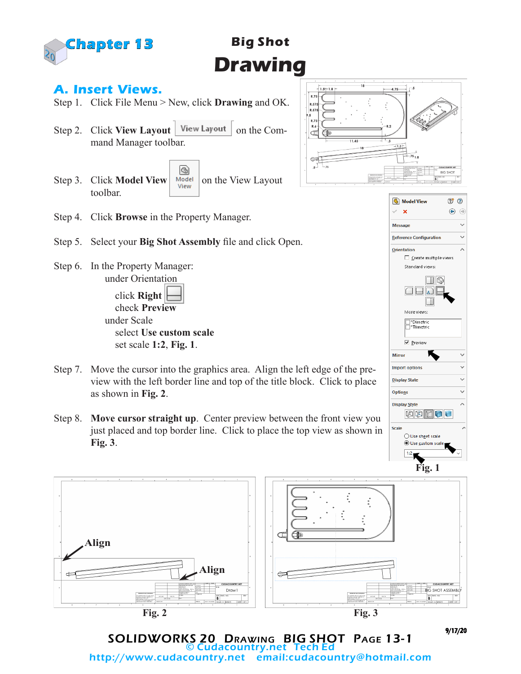

# **Big Shot Drawing**

### **A. Insert Views.**

- Step 1. Click File Menu > New, click **Drawing** and OK.
- Step 2. Click **View Layout** | View Layout | on the Command Manager toolbar.
- G) Step 3. Click **Model View Notell** on the View Layout toolbar.



- Step 5. Select your **Big Shot Assembly** file and click Open.
- Step 6. In the Property Manager: under Orientation

 click **Right** check **Preview** under Scale select **Use custom scale** set scale **1:2**, **Fig. 1**.

- Step 7. Move the cursor into the graphics area. Align the left edge of the preview with the left border line and top of the title block. Click to place as shown in **Fig. 2**.
- Step 8. **Move cursor straight up**. Center preview between the front view you just placed and top border line. Click to place the top view as shown in **Fig. 3**.







9/17/20

SOLIDWORKS 20 Drawing BIG SHOT Page 13-1 © Cudacountry.net Tech Ed http://www.cudacountry.net email:cudacountry@hotmail.com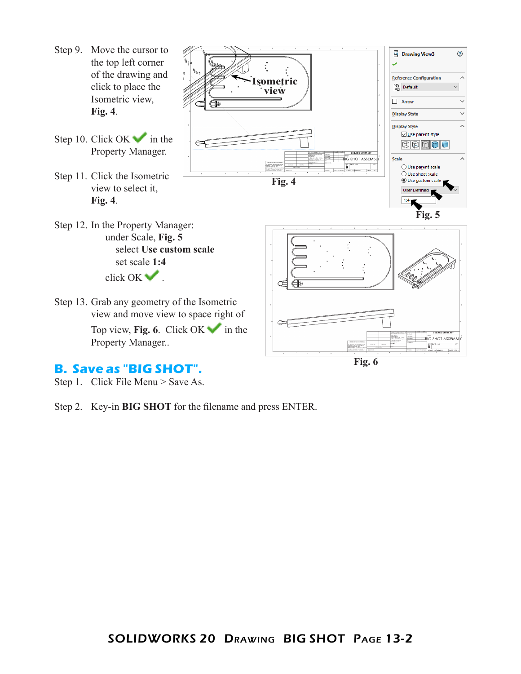Step 9. Move the cursor to **ED** Drawing View3 ⊙ the top left corner  $\ddot{\cdot}$ U of the drawing and **Reference Configuration**  $\lambda$ **Isometric** click to place the **图** Default  $\backsim$ **view** Isometric view,  $\Box$  Arrow  $\ddot{\phantom{1}}$ ( **Fig. 4**.  $\ddot{\phantom{0}}$ **Display State** Display Style  $\lambda$ □ Use parent style Step 10. Click OK in the BBDDU Property Manager. **CUDACOUNTRY.NET BIG** SHOT ASSEMBLY Scale  $\begin{array}{|l|l|}\n\hline\n\text{NE} & \text{DWO} & \text{NO} \\
\hline\n\text{SCASE} & \text{In} & \text{In} & \text{In} & \text{O} \\
\hline\n\end{array}$ ○ Use parent scale ◯ Use sheet scale Step 11. Click the Isometric **Fig. 4 O** Use custom scale view to select it, User Defined **Fig. 4**. **Fig. 5**Step 12. In the Property Manager: under Scale, **Fig. 5** select **Use custom scale** set scale **1:4** click OK . Step 13. Grab any geometry of the Isometric view and move view to space right of Top view, **Fig. 6**. Click OK in the **CUDACOUNTRY.NET BIG** SHOT ASSEMBLY Property Manager.. **Fig. 6**

#### **B. Save as "BIG SHOT".**

Step 1. Click File Menu > Save As.

Step 2. Key-in **BIG SHOT** for the filename and press ENTER.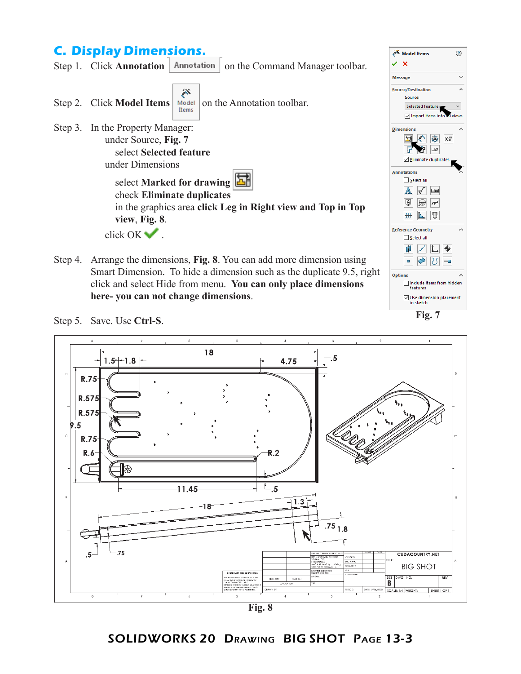## **C. Display Dimensions.**



Step 4. Arrange the dimensions, **Fig. 8**. You can add more dimension using Smart Dimension. To hide a dimension such as the duplicate 9.5, right click and select Hide from menu. **You can only place dimensions here- you can not change dimensions**.



Model Items

⊙

**Fig. 7**

Step 5. Save. Use **Ctrl-S**.



**Fig. 8**

#### SOLIDWORKS 20 Drawing BIG SHOT Page 13-3